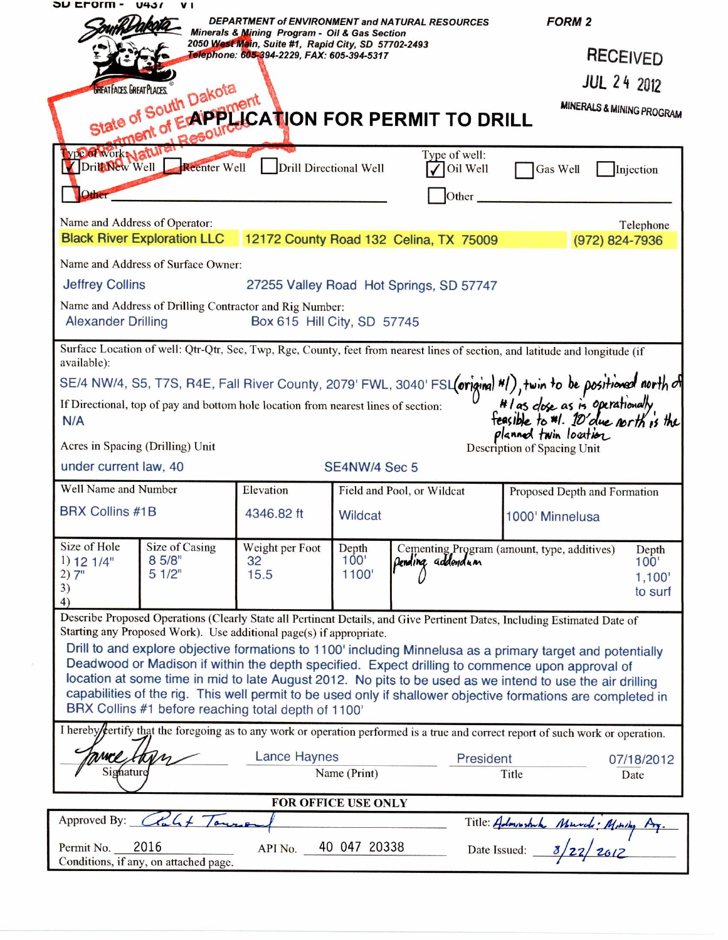|                                                                                                                                                                                                                               |                                                                   |                                                                                                                            |                            | DEPARTMENT of ENVIRONMENT and NATURAL RESOURCES                    | <b>FORM 2</b>                                                                                                                                                                                                                                                                                                                                                                                                                                                                                                                                                          |  |
|-------------------------------------------------------------------------------------------------------------------------------------------------------------------------------------------------------------------------------|-------------------------------------------------------------------|----------------------------------------------------------------------------------------------------------------------------|----------------------------|--------------------------------------------------------------------|------------------------------------------------------------------------------------------------------------------------------------------------------------------------------------------------------------------------------------------------------------------------------------------------------------------------------------------------------------------------------------------------------------------------------------------------------------------------------------------------------------------------------------------------------------------------|--|
| Minerals & Mining Program - Oil & Gas Section<br>2050 West Main, Suite #1, Rapid City, SD 57702-2493<br>Telephone: 605-394-2229, FAX: 605-394-5317                                                                            |                                                                   |                                                                                                                            |                            |                                                                    | <b>RECEIVED</b>                                                                                                                                                                                                                                                                                                                                                                                                                                                                                                                                                        |  |
|                                                                                                                                                                                                                               |                                                                   |                                                                                                                            |                            |                                                                    | <b>JUL 24 2012</b>                                                                                                                                                                                                                                                                                                                                                                                                                                                                                                                                                     |  |
|                                                                                                                                                                                                                               |                                                                   |                                                                                                                            |                            |                                                                    | <b>MINERALS &amp; MINING PROGRAM</b>                                                                                                                                                                                                                                                                                                                                                                                                                                                                                                                                   |  |
| State of South Dakota<br>te of South Dan Brent<br>drient of Eraippluc ATION FOR PERMIT TO DRILL<br>Resour                                                                                                                     |                                                                   |                                                                                                                            |                            |                                                                    |                                                                                                                                                                                                                                                                                                                                                                                                                                                                                                                                                                        |  |
| Type of work, Jaful<br>Drill New Well                                                                                                                                                                                         | Reenter Well                                                      | Drill Directional Well                                                                                                     |                            | Type of well:<br>Oil Well                                          | Gas Well<br>Injection                                                                                                                                                                                                                                                                                                                                                                                                                                                                                                                                                  |  |
| Other                                                                                                                                                                                                                         |                                                                   |                                                                                                                            |                            | Other                                                              |                                                                                                                                                                                                                                                                                                                                                                                                                                                                                                                                                                        |  |
| Name and Address of Operator:                                                                                                                                                                                                 |                                                                   |                                                                                                                            |                            | Black River Exploration LLC 12172 County Road 132 Celina, TX 75009 | Telephone<br>(972) 824-7936                                                                                                                                                                                                                                                                                                                                                                                                                                                                                                                                            |  |
| Name and Address of Surface Owner:                                                                                                                                                                                            |                                                                   |                                                                                                                            |                            |                                                                    |                                                                                                                                                                                                                                                                                                                                                                                                                                                                                                                                                                        |  |
|                                                                                                                                                                                                                               | <b>Jeffrey Collins</b><br>27255 Valley Road Hot Springs, SD 57747 |                                                                                                                            |                            |                                                                    |                                                                                                                                                                                                                                                                                                                                                                                                                                                                                                                                                                        |  |
|                                                                                                                                                                                                                               | Name and Address of Drilling Contractor and Rig Number:           |                                                                                                                            |                            |                                                                    |                                                                                                                                                                                                                                                                                                                                                                                                                                                                                                                                                                        |  |
| <b>Alexander Drilling</b>                                                                                                                                                                                                     |                                                                   | Box 615 Hill City, SD 57745                                                                                                |                            |                                                                    |                                                                                                                                                                                                                                                                                                                                                                                                                                                                                                                                                                        |  |
| Surface Location of well: Qtr-Qtr, Sec, Twp, Rge, County, feet from nearest lines of section, and latitude and longitude (if<br>available):                                                                                   |                                                                   |                                                                                                                            |                            |                                                                    |                                                                                                                                                                                                                                                                                                                                                                                                                                                                                                                                                                        |  |
|                                                                                                                                                                                                                               |                                                                   |                                                                                                                            |                            |                                                                    |                                                                                                                                                                                                                                                                                                                                                                                                                                                                                                                                                                        |  |
| SE/4 NW/4, S5, T7S, R4E, Fall River County, 2079' FWL, 3040' FSL (original $\frac{H}{D}$ , twin to be positioned north of<br>If Directional, top of pay and bottom hole location from nearest lines of section:<br>N/A<br>RMA |                                                                   |                                                                                                                            |                            |                                                                    |                                                                                                                                                                                                                                                                                                                                                                                                                                                                                                                                                                        |  |
| planned twin location<br>Acres in Spacing (Drilling) Unit<br>Description of Spacing Unit                                                                                                                                      |                                                                   |                                                                                                                            |                            |                                                                    |                                                                                                                                                                                                                                                                                                                                                                                                                                                                                                                                                                        |  |
| under current law, 40                                                                                                                                                                                                         |                                                                   |                                                                                                                            | SE4NW/4 Sec 5              |                                                                    |                                                                                                                                                                                                                                                                                                                                                                                                                                                                                                                                                                        |  |
| Well Name and Number                                                                                                                                                                                                          |                                                                   | Elevation                                                                                                                  | Field and Pool, or Wildcat |                                                                    |                                                                                                                                                                                                                                                                                                                                                                                                                                                                                                                                                                        |  |
| <b>BRX Collins #1B</b>                                                                                                                                                                                                        |                                                                   |                                                                                                                            |                            |                                                                    | Proposed Depth and Formation                                                                                                                                                                                                                                                                                                                                                                                                                                                                                                                                           |  |
|                                                                                                                                                                                                                               |                                                                   | 4346.82 ft                                                                                                                 | Wildcat                    |                                                                    | 1000' Minnelusa                                                                                                                                                                                                                                                                                                                                                                                                                                                                                                                                                        |  |
| Size of Hole<br>$1)$ 12 1/4"<br>2)7"<br>3)<br>4)                                                                                                                                                                              | Size of Casing<br>8 5/8"<br>$51/2$ "                              | Weight per Foot<br>32<br>15.5                                                                                              | Depth<br>100'<br>1100'     | Dendina addendum                                                   | Cementing Program (amount, type, additives)<br>Depth<br>100'<br>1,100'<br>to surf                                                                                                                                                                                                                                                                                                                                                                                                                                                                                      |  |
|                                                                                                                                                                                                                               |                                                                   | Starting any Proposed Work). Use additional page(s) if appropriate.<br>BRX Collins #1 before reaching total depth of 1100' |                            |                                                                    | Describe Proposed Operations (Clearly State all Pertinent Details, and Give Pertinent Dates, Including Estimated Date of<br>Drill to and explore objective formations to 1100' including Minnelusa as a primary target and potentially<br>Deadwood or Madison if within the depth specified. Expect drilling to commence upon approval of<br>location at some time in mid to late August 2012. No pits to be used as we intend to use the air drilling<br>capabilities of the rig. This well permit to be used only if shallower objective formations are completed in |  |
|                                                                                                                                                                                                                               |                                                                   |                                                                                                                            |                            |                                                                    | I hereby tertify that the foregoing as to any work or operation performed is a true and correct report of such work or operation.                                                                                                                                                                                                                                                                                                                                                                                                                                      |  |
| wcl<br>Signature                                                                                                                                                                                                              |                                                                   | Lance Haynes                                                                                                               | Name (Print)               | President                                                          | 07/18/2012<br>Title<br>Date                                                                                                                                                                                                                                                                                                                                                                                                                                                                                                                                            |  |
|                                                                                                                                                                                                                               |                                                                   | FOR OFFICE USE ONLY                                                                                                        |                            |                                                                    |                                                                                                                                                                                                                                                                                                                                                                                                                                                                                                                                                                        |  |
|                                                                                                                                                                                                                               | Approved By: Chalit Towns                                         |                                                                                                                            |                            |                                                                    | Title: Administrich Musical: Minity Arg.<br>Date Issued: $3/22/2012$                                                                                                                                                                                                                                                                                                                                                                                                                                                                                                   |  |